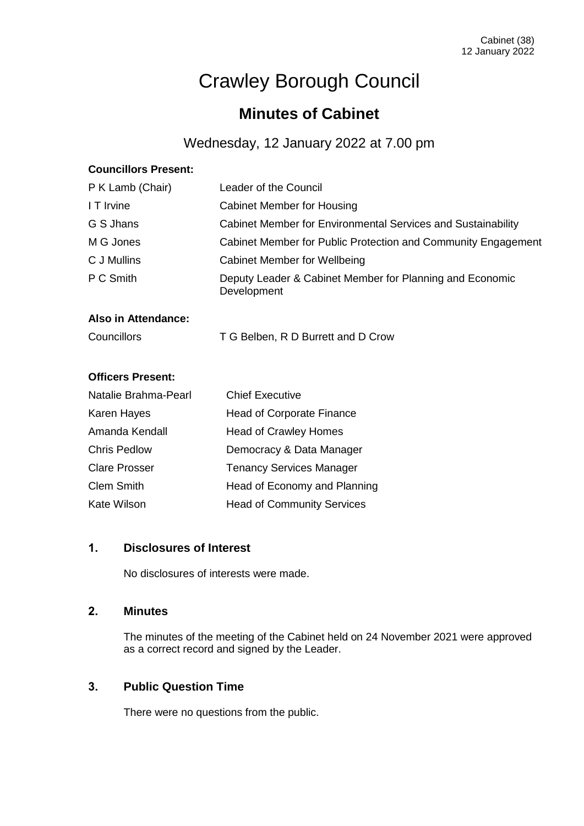# Crawley Borough Council

# **Minutes of Cabinet**

# Wednesday, 12 January 2022 at 7.00 pm

## **Councillors Present:**

| P K Lamb (Chair) | Leader of the Council                                                   |
|------------------|-------------------------------------------------------------------------|
| I T Irvine       | <b>Cabinet Member for Housing</b>                                       |
| G S Jhans        | Cabinet Member for Environmental Services and Sustainability            |
| M G Jones        | Cabinet Member for Public Protection and Community Engagement           |
| C J Mullins      | <b>Cabinet Member for Wellbeing</b>                                     |
| P C Smith        | Deputy Leader & Cabinet Member for Planning and Economic<br>Development |

# **Also in Attendance:**

### **Officers Present:**

| Natalie Brahma-Pearl | <b>Chief Executive</b>            |
|----------------------|-----------------------------------|
| Karen Hayes          | <b>Head of Corporate Finance</b>  |
| Amanda Kendall       | <b>Head of Crawley Homes</b>      |
| <b>Chris Pedlow</b>  | Democracy & Data Manager          |
| <b>Clare Prosser</b> | <b>Tenancy Services Manager</b>   |
| <b>Clem Smith</b>    | Head of Economy and Planning      |
| <b>Kate Wilson</b>   | <b>Head of Community Services</b> |

# **1. Disclosures of Interest**

No disclosures of interests were made.

# **2. Minutes**

The minutes of the meeting of the Cabinet held on 24 November 2021 were approved as a correct record and signed by the Leader.

# **3. Public Question Time**

There were no questions from the public.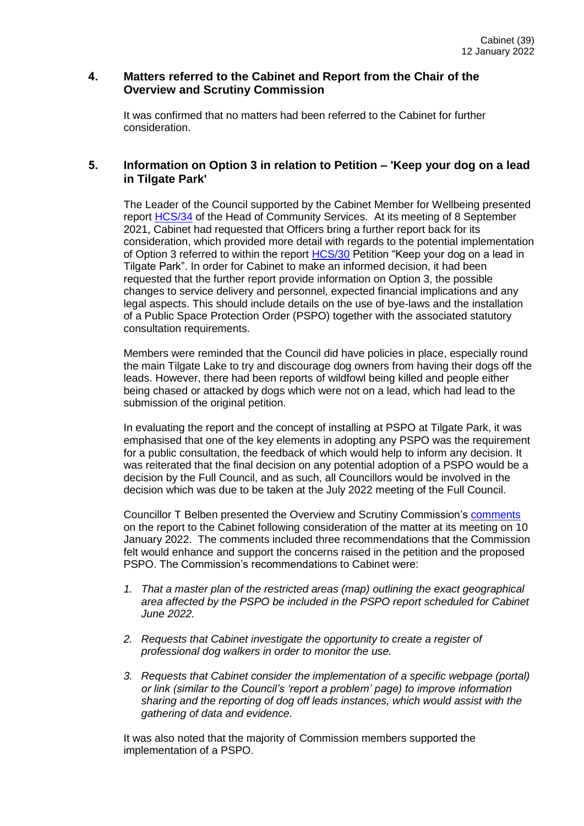## **4. Matters referred to the Cabinet and Report from the Chair of the Overview and Scrutiny Commission**

It was confirmed that no matters had been referred to the Cabinet for further consideration.

# **5. Information on Option 3 in relation to Petition – 'Keep your dog on a lead in Tilgate Park'**

The Leader of the Council supported by the Cabinet Member for Wellbeing presented report [HCS/34](https://democracy.crawley.gov.uk/documents/s21218/HCS34%20Information%20on%20Option%203%20in%20relation%20to%20Petition%20Keep%20your%20dog%20on%20a%20lead%20in%20Tilgate%20Park.pdf) of the Head of Community Services. At its meeting of 8 September 2021, Cabinet had requested that Officers bring a further report back for its consideration, which provided more detail with regards to the potential implementation of Option 3 referred to within the report [HCS/30](https://democracy.crawley.gov.uk/documents/s18978/Petition%20Keep%20your%20dog%20on%20a%20lead%20in%20Tilgate%20Park.pdf) Petition "Keep your dog on a lead in Tilgate Park". In order for Cabinet to make an informed decision, it had been requested that the further report provide information on Option 3, the possible changes to service delivery and personnel, expected financial implications and any legal aspects. This should include details on the use of bye-laws and the installation of a Public Space Protection Order (PSPO) together with the associated statutory consultation requirements.

Members were reminded that the Council did have policies in place, especially round the main Tilgate Lake to try and discourage dog owners from having their dogs off the leads. However, there had been reports of wildfowl being killed and people either being chased or attacked by dogs which were not on a lead, which had lead to the submission of the original petition.

In evaluating the report and the concept of installing at PSPO at Tilgate Park, it was emphasised that one of the key elements in adopting any PSPO was the requirement for a public consultation, the feedback of which would help to inform any decision. It was reiterated that the final decision on any potential adoption of a PSPO would be a decision by the Full Council, and as such, all Councillors would be involved in the decision which was due to be taken at the July 2022 meeting of the Full Council.

Councillor T Belben presented the Overview and Scrutiny Commission's [comments](https://democracy.crawley.gov.uk/documents/b11451/OSC%20Comments%20to%20Cabinet%2012th-Jan-2022%2019.00%20Cabinet.pdf?T=9) on the report to the Cabinet following consideration of the matter at its meeting on 10 January 2022. The comments included three recommendations that the Commission felt would enhance and support the concerns raised in the petition and the proposed PSPO. The Commission's recommendations to Cabinet were:

- *1. That a master plan of the restricted areas (map) outlining the exact geographical area affected by the PSPO be included in the PSPO report scheduled for Cabinet June 2022.*
- *2. Requests that Cabinet investigate the opportunity to create a register of professional dog walkers in order to monitor the use.*
- *3. Requests that Cabinet consider the implementation of a specific webpage (portal) or link (similar to the Council's 'report a problem' page) to improve information sharing and the reporting of dog off leads instances, which would assist with the gathering of data and evidence.*

It was also noted that the majority of Commission members supported the implementation of a PSPO.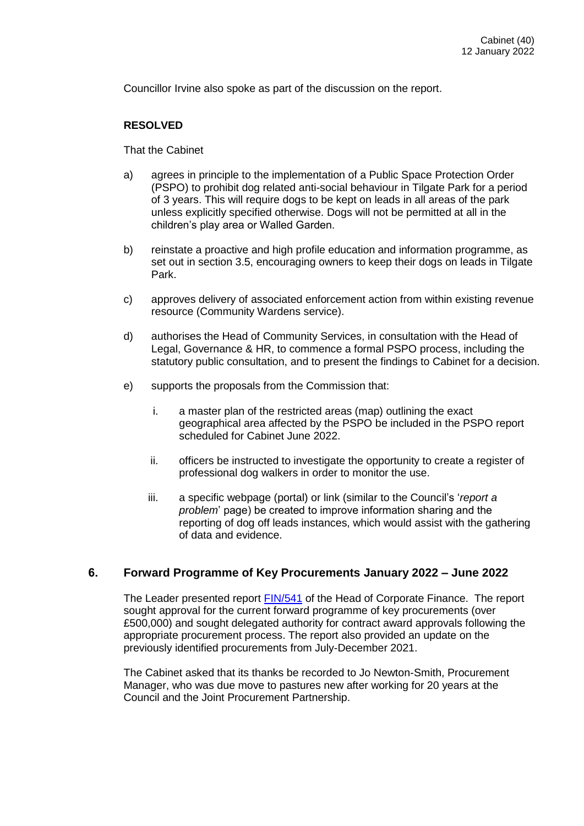Councillor Irvine also spoke as part of the discussion on the report.

#### **RESOLVED**

That the Cabinet

- a) agrees in principle to the implementation of a Public Space Protection Order (PSPO) to prohibit dog related anti-social behaviour in Tilgate Park for a period of 3 years. This will require dogs to be kept on leads in all areas of the park unless explicitly specified otherwise. Dogs will not be permitted at all in the children's play area or Walled Garden.
- b) reinstate a proactive and high profile education and information programme, as set out in section 3.5, encouraging owners to keep their dogs on leads in Tilgate Park.
- c) approves delivery of associated enforcement action from within existing revenue resource (Community Wardens service).
- d) authorises the Head of Community Services, in consultation with the Head of Legal, Governance & HR, to commence a formal PSPO process, including the statutory public consultation, and to present the findings to Cabinet for a decision.
- e) supports the proposals from the Commission that:
	- i. a master plan of the restricted areas (map) outlining the exact geographical area affected by the PSPO be included in the PSPO report scheduled for Cabinet June 2022.
	- ii. officers be instructed to investigate the opportunity to create a register of professional dog walkers in order to monitor the use.
	- iii. a specific webpage (portal) or link (similar to the Council's '*report a problem*' page) be created to improve information sharing and the reporting of dog off leads instances, which would assist with the gathering of data and evidence.

#### **6. Forward Programme of Key Procurements January 2022 – June 2022**

The Leader presented report [FIN/541](https://democracy.crawley.gov.uk/documents/s21219/FIN541%20Forward%20Programme%20of%20Key%20Procurements%20January%202022%20-%20June%202022.pdf) of the Head of Corporate Finance. The report sought approval for the current forward programme of key procurements (over £500,000) and sought delegated authority for contract award approvals following the appropriate procurement process. The report also provided an update on the previously identified procurements from July-December 2021.

The Cabinet asked that its thanks be recorded to Jo Newton-Smith, Procurement Manager, who was due move to pastures new after working for 20 years at the Council and the Joint Procurement Partnership.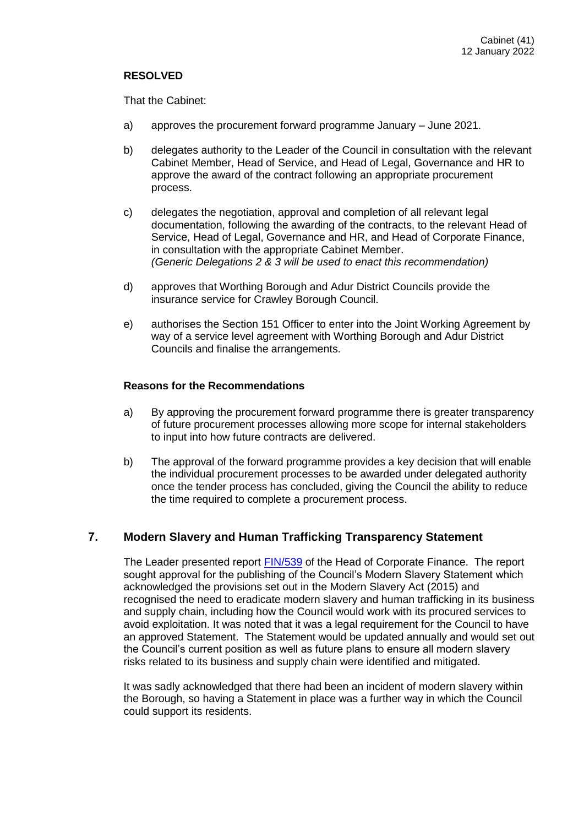### **RESOLVED**

That the Cabinet:

- a) approves the procurement forward programme January June 2021.
- b) delegates authority to the Leader of the Council in consultation with the relevant Cabinet Member, Head of Service, and Head of Legal, Governance and HR to approve the award of the contract following an appropriate procurement process.
- c) delegates the negotiation, approval and completion of all relevant legal documentation, following the awarding of the contracts, to the relevant Head of Service, Head of Legal, Governance and HR, and Head of Corporate Finance, in consultation with the appropriate Cabinet Member. *(Generic Delegations 2 & 3 will be used to enact this recommendation)*
- d) approves that Worthing Borough and Adur District Councils provide the insurance service for Crawley Borough Council.
- e) authorises the Section 151 Officer to enter into the Joint Working Agreement by way of a service level agreement with Worthing Borough and Adur District Councils and finalise the arrangements.

#### **Reasons for the Recommendations**

- a) By approving the procurement forward programme there is greater transparency of future procurement processes allowing more scope for internal stakeholders to input into how future contracts are delivered.
- b) The approval of the forward programme provides a key decision that will enable the individual procurement processes to be awarded under delegated authority once the tender process has concluded, giving the Council the ability to reduce the time required to complete a procurement process.

# **7. Modern Slavery and Human Trafficking Transparency Statement**

The Leader presented report [FIN/539](https://democracy.crawley.gov.uk/documents/s21222/FIN539%20Modern%20Slavery%20and%20Human%20Trafficking%20Transparency%20Statement.pdf) of the Head of Corporate Finance. The report sought approval for the publishing of the Council's Modern Slavery Statement which acknowledged the provisions set out in the Modern Slavery Act (2015) and recognised the need to eradicate modern slavery and human trafficking in its business and supply chain, including how the Council would work with its procured services to avoid exploitation. It was noted that it was a legal requirement for the Council to have an approved Statement. The Statement would be updated annually and would set out the Council's current position as well as future plans to ensure all modern slavery risks related to its business and supply chain were identified and mitigated.

It was sadly acknowledged that there had been an incident of modern slavery within the Borough, so having a Statement in place was a further way in which the Council could support its residents.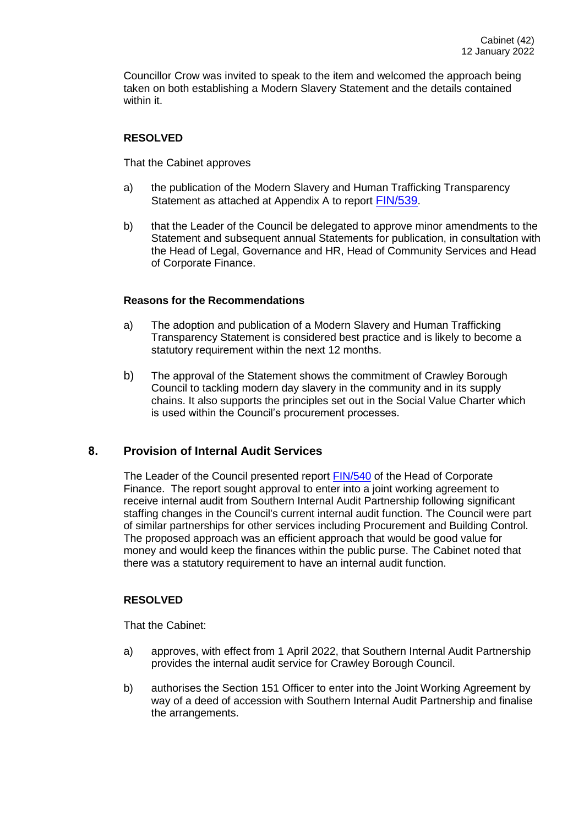Councillor Crow was invited to speak to the item and welcomed the approach being taken on both establishing a Modern Slavery Statement and the details contained within it.

#### **RESOLVED**

That the Cabinet approves

- a) the publication of the Modern Slavery and Human Trafficking Transparency Statement as attached at Appendix A to report [FIN/539](https://democracy.crawley.gov.uk/documents/s21222/FIN539%20Modern%20Slavery%20and%20Human%20Trafficking%20Transparency%20Statement.pdf).
- b) that the Leader of the Council be delegated to approve minor amendments to the Statement and subsequent annual Statements for publication, in consultation with the Head of Legal, Governance and HR, Head of Community Services and Head of Corporate Finance.

### **Reasons for the Recommendations**

- a) The adoption and publication of a Modern Slavery and Human Trafficking Transparency Statement is considered best practice and is likely to become a statutory requirement within the next 12 months.
- b) The approval of the Statement shows the commitment of Crawley Borough Council to tackling modern day slavery in the community and in its supply chains. It also supports the principles set out in the Social Value Charter which is used within the Council's procurement processes.

# **8. Provision of Internal Audit Services**

The Leader of the Council presented report [FIN/540](https://democracy.crawley.gov.uk/documents/s21224/FIN553%20Provision%20of%20Internal%20Audit%20Services.pdf) of the Head of Corporate Finance. The report sought approval to enter into a joint working agreement to receive internal audit from Southern Internal Audit Partnership following significant staffing changes in the Council's current internal audit function. The Council were part of similar partnerships for other services including Procurement and Building Control. The proposed approach was an efficient approach that would be good value for money and would keep the finances within the public purse. The Cabinet noted that there was a statutory requirement to have an internal audit function.

# **RESOLVED**

That the Cabinet:

- a) approves, with effect from 1 April 2022, that Southern Internal Audit Partnership provides the internal audit service for Crawley Borough Council.
- b) authorises the Section 151 Officer to enter into the Joint Working Agreement by way of a deed of accession with Southern Internal Audit Partnership and finalise the arrangements.